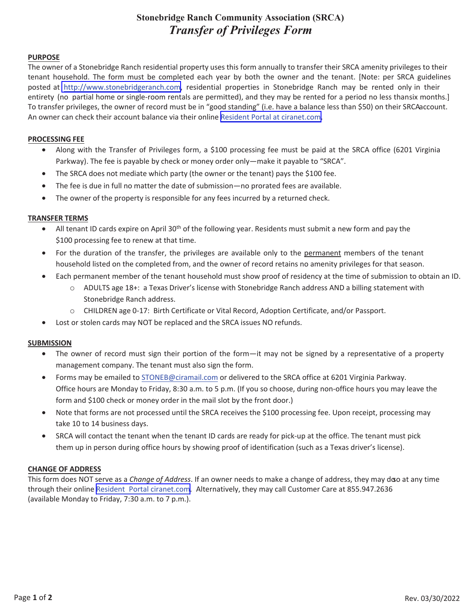# **Stonebridge Ranch Community Association (SRCA)**  *Transfer of Privileges Form*

#### **PURPOSE**

The owner of a Stonebridge Ranch residential property uses this form annually to transfer their SRCA amenity privileges to their tenant household. The form must be completed each year by both the owner and the tenant. [Note: per SRCA guidelines posted at [http://www.stonebridgeranch.com,](https://www.stonebridgeranch.com/) residential properties in Stonebridge Ranch may be rented only in their entirety (no partial home or single-room rentals are permitted), and they may be rented for a period no less thansix months.] To transfer privileges, the owner of record must be in "good standing" (i.e. have a balance less than \$50) on their SRCA account. An owner can check their account balance via their online Resident Portal at [ciranet.com.](https://www.ciranet.com/ResidentPortal/user/login)

#### **PROCESSING FEE**

- Along with the Transfer of Privileges form, a \$100 processing fee must be paid at the SRCA office (6201 Virginia Parkway). The fee is payable by check or money order only—make it payable to "SRCA".
- The SRCA does not mediate which party (the owner or the tenant) pays the \$100 fee.
- The fee is due in full no matter the date of submission—no prorated fees are available.
- The owner of the property is responsible for any fees incurred by a returned check.

### **TRANSFER TERMS**

- All tenant ID cards expire on April 30<sup>th</sup> of the following year. Residents must submit a new form and pay the \$100 processing fee to renew at that time.
- For the duration of the transfer, the privileges are available only to the permanent members of the tenant household listed on the completed from, and the owner of record retains no amenity privileges for that season.
- Each permanent member of the tenant household must show proof of residency at the time of submission to obtain an ID.
	- o ADULTS age 18+: a Texas Driver's license with Stonebridge Ranch address AND a billing statement with Stonebridge Ranch address.
	- o CHILDREN age 0Ͳ17: Birth Certificate or Vital Record, Adoption Certificate, and/or Passport.
- Lost or stolen cards may NOT be replaced and the SRCA issues NO refunds.

### **SUBMISSION**

- The owner of record must sign their portion of the form—it may not be signed by a representative of a property management company. The tenant must also sign the form.
- Forms may be emailed to STONEB@ciramail.com or delivered to the SRCA office at 6201 Virginia Parkway. Office hours are Monday to Friday, 8:30 a.m. to 5 p.m. (If you so choose, during non-office hours you may leave the form and \$100 check or money order in the mail slot by the front door.)
- Note that forms are not processed until the SRCA receives the \$100 processing fee. Upon receipt, processing may take 10 to 14 business days.
- SRCA will contact the tenant when the tenant ID cards are ready for pick-up at the office. The tenant must pick them up in person during office hours by showing proof of identification (such as a Texas driver's license).

## **CHANGE OF ADDRESS**

This form does NOT serve as a *Change of Address*. If an owner needs to make a change of address, they may do o at any time through their online Resident Portal [ciranet.com](https://www.ciranet.com/ResidentPortal/user/login). Alternatively, they may call Customer Care at 855.947.2636 (available Monday to Friday, 7:30 a.m. to 7 p.m.).